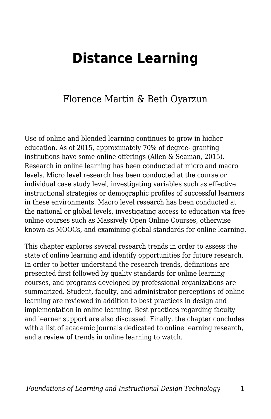# **Distance Learning**

### Florence Martin & Beth Oyarzun

Use of online and blended learning continues to grow in higher education. As of 2015, approximately 70% of degree- granting institutions have some online offerings (Allen & Seaman, 2015). Research in online learning has been conducted at micro and macro levels. Micro level research has been conducted at the course or individual case study level, investigating variables such as effective instructional strategies or demographic profiles of successful learners in these environments. Macro level research has been conducted at the national or global levels, investigating access to education via free online courses such as Massively Open Online Courses, otherwise known as MOOCs, and examining global standards for online learning.

This chapter explores several research trends in order to assess the state of online learning and identify opportunities for future research. In order to better understand the research trends, definitions are presented first followed by quality standards for online learning courses, and programs developed by professional organizations are summarized. Student, faculty, and administrator perceptions of online learning are reviewed in addition to best practices in design and implementation in online learning. Best practices regarding faculty and learner support are also discussed. Finally, the chapter concludes with a list of academic journals dedicated to online learning research, and a review of trends in online learning to watch.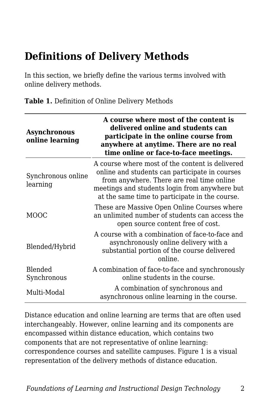## **Definitions of Delivery Methods**

In this section, we briefly define the various terms involved with online delivery methods.

| <b>Asynchronous</b><br>online learning | A course where most of the content is<br>delivered online and students can<br>participate in the online course from<br>anywhere at anytime. There are no real<br>time online or face-to-face meetings.                                            |
|----------------------------------------|---------------------------------------------------------------------------------------------------------------------------------------------------------------------------------------------------------------------------------------------------|
| Synchronous online<br>learning         | A course where most of the content is delivered<br>online and students can participate in courses<br>from anywhere. There are real time online<br>meetings and students login from anywhere but<br>at the same time to participate in the course. |
| MOOC                                   | These are Massive Open Online Courses where<br>an unlimited number of students can access the<br>open source content free of cost.                                                                                                                |
| Blended/Hybrid                         | A course with a combination of face-to-face and<br>asynchronously online delivery with a<br>substantial portion of the course delivered<br>online.                                                                                                |
| Blended<br>Synchronous                 | A combination of face-to-face and synchronously<br>online students in the course.                                                                                                                                                                 |
| Multi-Modal                            | A combination of synchronous and<br>asynchronous online learning in the course.                                                                                                                                                                   |

**Table 1.** Definition of Online Delivery Methods

Distance education and online learning are terms that are often used interchangeably. However, online learning and its components are encompassed within distance education, which contains two components that are not representative of online learning: correspondence courses and satellite campuses. Figure 1 is a visual representation of the delivery methods of distance education.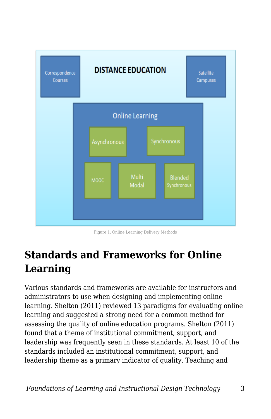

Figure 1. Online Learning Delivery Methods

# **Standards and Frameworks for Online Learning**

Various standards and frameworks are available for instructors and administrators to use when designing and implementing online learning. Shelton (2011) reviewed 13 paradigms for evaluating online learning and suggested a strong need for a common method for assessing the quality of online education programs. Shelton (2011) found that a theme of institutional commitment, support, and leadership was frequently seen in these standards. At least 10 of the standards included an institutional commitment, support, and leadership theme as a primary indicator of quality. Teaching and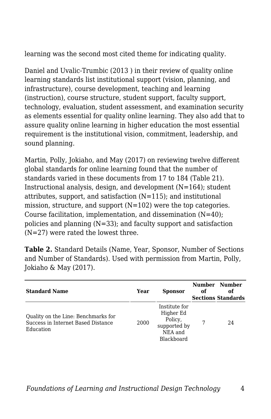learning was the second most cited theme for indicating quality.

Daniel and Uvalic-Trumbic (2013 ) in their review of quality online learning standards list institutional support (vision, planning, and infrastructure), course development, teaching and learning (instruction), course structure, student support, faculty support, technology, evaluation, student assessment, and examination security as elements essential for quality online learning. They also add that to assure quality online learning in higher education the most essential requirement is the institutional vision, commitment, leadership, and sound planning.

Martin, Polly, Jokiaho, and May (2017) on reviewing twelve different global standards for online learning found that the number of standards varied in these documents from 17 to 184 (Table 21). Instructional analysis, design, and development (N=164); student attributes, support, and satisfaction (N=115); and institutional mission, structure, and support (N=102) were the top categories. Course facilitation, implementation, and dissemination  $(N=40)$ ; policies and planning (N=33); and faculty support and satisfaction (N=27) were rated the lowest three.

**Table 2.** Standard Details (Name, Year, Sponsor, Number of Sections and Number of Standards). Used with permission from Martin, Polly, Jokiaho & May (2017).

| <b>Standard Name</b>                                                                   | Year | <b>Sponsor</b>                                                                 | оf | Number Number<br>оf<br><b>Sections Standards</b> |
|----------------------------------------------------------------------------------------|------|--------------------------------------------------------------------------------|----|--------------------------------------------------|
| Quality on the Line: Benchmarks for<br>Success in Internet Based Distance<br>Education | 2000 | Institute for<br>Higher Ed<br>Policy,<br>supported by<br>NEA and<br>Blackboard |    | 24                                               |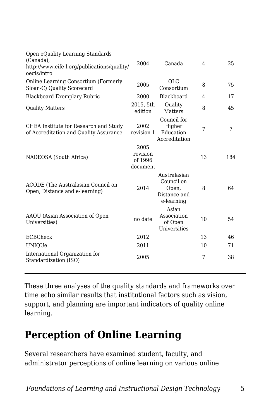| 75  |
|-----|
|     |
| 17  |
| 45  |
| 7   |
| 184 |
| 64  |
| 54  |
| 46  |
| 71  |
| 38  |
|     |

These three analyses of the quality standards and frameworks over time echo similar results that institutional factors such as vision, support, and planning are important indicators of quality online learning.

## **Perception of Online Learning**

Several researchers have examined student, faculty, and administrator perceptions of online learning on various online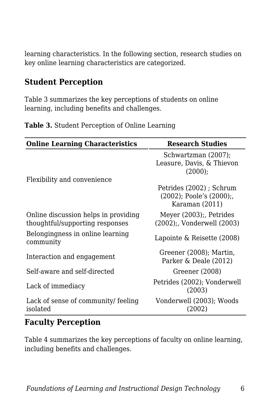learning characteristics. In the following section, research studies on key online learning characteristics are categorized.

#### **Student Perception**

Table 3 summarizes the key perceptions of students on online learning, including benefits and challenges.

| Table 3. Student Perception of Online Learning |  |
|------------------------------------------------|--|
|------------------------------------------------|--|

| <b>Online Learning Characteristics</b>                                  | <b>Research Studies</b>                                                    |
|-------------------------------------------------------------------------|----------------------------------------------------------------------------|
|                                                                         | Schwartzman (2007);<br>Leasure, Davis, & Thievon<br>(2000);                |
| Flexibility and convenience                                             |                                                                            |
|                                                                         | Petrides (2002); Schrum<br>$(2002)$ ; Poole's $(2000)$ ;<br>Karaman (2011) |
| Online discussion helps in providing<br>thoughtful/supporting responses | Meyer (2003);, Petrides<br>(2002);, Vonderwell (2003)                      |
| Belongingness in online learning<br>community                           | Lapointe & Reisette (2008)                                                 |
| Interaction and engagement                                              | Greener (2008); Martin,<br>Parker & Deale (2012)                           |
| Self-aware and self-directed                                            | Greener (2008)                                                             |
| Lack of immediacy                                                       | Petrides (2002); Vonderwell<br>(2003)                                      |
| Lack of sense of community/ feeling<br>isolated                         | Vonderwell (2003); Woods<br>(2002)                                         |

#### **Faculty Perception**

Table 4 summarizes the key perceptions of faculty on online learning, including benefits and challenges.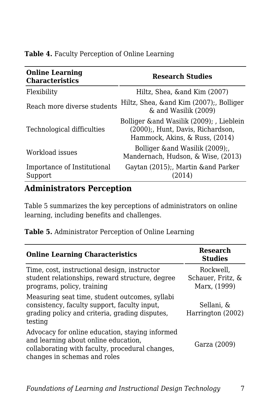|  |  |  | Table 4. Faculty Perception of Online Learning |
|--|--|--|------------------------------------------------|
|--|--|--|------------------------------------------------|

| <b>Online Learning</b><br><b>Characteristics</b> | <b>Research Studies</b>                                                                                          |  |
|--------------------------------------------------|------------------------------------------------------------------------------------------------------------------|--|
| Flexibility                                      | Hiltz, Shea, & and Kim (2007)                                                                                    |  |
| Reach more diverse students                      | Hiltz, Shea, & and Kim (2007);, Bolliger<br>& and Wasilik (2009)                                                 |  |
| Technological difficulties                       | Bolliger & and Wasilik (2009); , Lieblein<br>(2000);, Hunt, Davis, Richardson,<br>Hammock, Akins, & Russ, (2014) |  |
| Workload issues                                  | Bolliger & and Wasilik (2009);<br>Mandernach, Hudson, & Wise, (2013)                                             |  |
| Importance of Institutional<br>Support           | Gaytan (2015);, Martin & and Parker<br>(2014)                                                                    |  |

#### **Administrators Perception**

Table 5 summarizes the key perceptions of administrators on online learning, including benefits and challenges.

| Table 5. Administrator Perception of Online Learning |  |  |
|------------------------------------------------------|--|--|
|                                                      |  |  |

| <b>Online Learning Characteristics</b>                                                                                                                                     | <b>Research</b><br><b>Studies</b>              |
|----------------------------------------------------------------------------------------------------------------------------------------------------------------------------|------------------------------------------------|
| Time, cost, instructional design, instructor<br>student relationships, reward structure, degree<br>programs, policy, training                                              | Rockwell.<br>Schauer, Fritz, &<br>Marx, (1999) |
| Measuring seat time, student outcomes, syllabi<br>consistency, faculty support, faculty input,<br>grading policy and criteria, grading disputes,<br>testing                | Sellani, &<br>Harrington (2002)                |
| Advocacy for online education, staying informed<br>and learning about online education,<br>collaborating with faculty, procedural changes,<br>changes in schemas and roles | Garza (2009)                                   |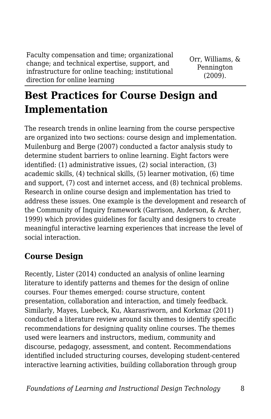Faculty compensation and time; organizational change; and technical expertise, support, and infrastructure for online teaching; institutional direction for online learning

Orr, Williams, & Pennington (2009).

# **Best Practices for Course Design and Implementation**

The research trends in online learning from the course perspective are organized into two sections: course design and implementation. Muilenburg and Berge (2007) conducted a factor analysis study to determine student barriers to online learning. Eight factors were identified: (1) administrative issues, (2) social interaction, (3) academic skills, (4) technical skills, (5) learner motivation, (6) time and support, (7) cost and internet access, and (8) technical problems. Research in online course design and implementation has tried to address these issues. One example is the development and research of the Community of Inquiry framework (Garrison, Anderson, & Archer, 1999) which provides guidelines for faculty and designers to create meaningful interactive learning experiences that increase the level of social interaction.

#### **Course Design**

Recently, Lister (2014) conducted an analysis of online learning literature to identify patterns and themes for the design of online courses. Four themes emerged: course structure, content presentation, collaboration and interaction, and timely feedback. Similarly, Mayes, Luebeck, Ku, Akarasriworn, and Korkmaz (2011) conducted a literature review around six themes to identify specific recommendations for designing quality online courses. The themes used were learners and instructors, medium, community and discourse, pedagogy, assessment, and content. Recommendations identified included structuring courses, developing student-centered interactive learning activities, building collaboration through group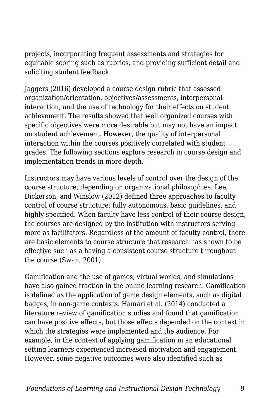projects, incorporating frequent assessments and strategies for equitable scoring such as rubrics, and providing sufficient detail and soliciting student feedback.

Jaggers (2016) developed a course design rubric that assessed organization/orientation, objectives/assessments, interpersonal interaction, and the use of technology for their effects on student achievement. The results showed that well organized courses with specific objectives were more desirable but may not have an impact on student achievement. However, the quality of interpersonal interaction within the courses positively correlated with student grades. The following sections explore research in course design and implementation trends in more depth.

Instructors may have various levels of control over the design of the course structure, depending on organizational philosophies. Lee, Dickerson, and Winslow (2012) defined three approaches to faculty control of course structure: fully autonomous, basic guidelines, and highly specified. When faculty have less control of their course design, the courses are designed by the institution with instructors serving more as facilitators. Regardless of the amount of faculty control, there are basic elements to course structure that research has shown to be effective such as a having a consistent course structure throughout the course (Swan, 2001).

Gamification and the use of games, virtual worlds, and simulations have also gained traction in the online learning research. Gamification is defined as the application of game design elements, such as digital badges, in non-game contexts. Hamari et al. (2014) conducted a literature review of gamification studies and found that gamification can have positive effects, but those effects depended on the context in which the strategies were implemented and the audience. For example, in the context of applying gamification in an educational setting learners experienced increased motivation and engagement. However, some negative outcomes were also identified such as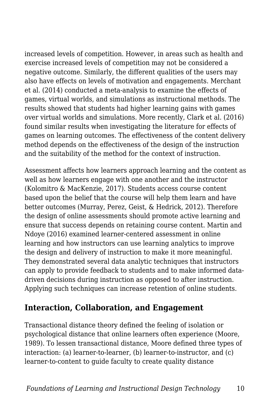increased levels of competition. However, in areas such as health and exercise increased levels of competition may not be considered a negative outcome. Similarly, the different qualities of the users may also have effects on levels of motivation and engagements. Merchant et al. (2014) conducted a meta-analysis to examine the effects of games, virtual worlds, and simulations as instructional methods. The results showed that students had higher learning gains with games over virtual worlds and simulations. More recently, Clark et al. (2016) found similar results when investigating the literature for effects of games on learning outcomes. The effectiveness of the content delivery method depends on the effectiveness of the design of the instruction and the suitability of the method for the context of instruction.

Assessment affects how learners approach learning and the content as well as how learners engage with one another and the instructor (Kolomitro & MacKenzie, 2017). Students access course content based upon the belief that the course will help them learn and have better outcomes (Murray, Perez, Geist, & Hedrick, 2012). Therefore the design of online assessments should promote active learning and ensure that success depends on retaining course content. Martin and Ndoye (2016) examined learner-centered assessment in online learning and how instructors can use learning analytics to improve the design and delivery of instruction to make it more meaningful. They demonstrated several data analytic techniques that instructors can apply to provide feedback to students and to make informed datadriven decisions during instruction as opposed to after instruction. Applying such techniques can increase retention of online students.

#### **Interaction, Collaboration, and Engagement**

Transactional distance theory defined the feeling of isolation or psychological distance that online learners often experience (Moore, 1989). To lessen transactional distance, Moore defined three types of interaction: (a) learner-to-learner, (b) learner-to-instructor, and (c) learner-to-content to guide faculty to create quality distance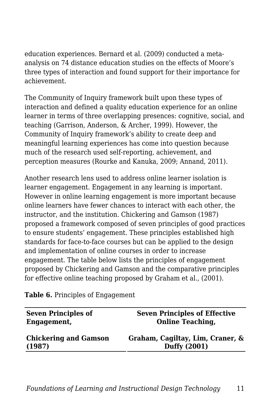education experiences. Bernard et al. (2009) conducted a metaanalysis on 74 distance education studies on the effects of Moore's three types of interaction and found support for their importance for achievement.

The Community of Inquiry framework built upon these types of interaction and defined a quality education experience for an online learner in terms of three overlapping presences: cognitive, social, and teaching (Garrison, Anderson, & Archer, 1999). However, the Community of Inquiry framework's ability to create deep and meaningful learning experiences has come into question because much of the research used self-reporting, achievement, and perception measures (Rourke and Kanuka, 2009; Annand, 2011).

Another research lens used to address online learner isolation is learner engagement. Engagement in any learning is important. However in online learning engagement is more important because online learners have fewer chances to interact with each other, the instructor, and the institution. Chickering and Gamson (1987) proposed a framework composed of seven principles of good practices to ensure students' engagement. These principles established high standards for face-to-face courses but can be applied to the design and implementation of online courses in order to increase engagement. The table below lists the principles of engagement proposed by Chickering and Gamson and the comparative principles for effective online teaching proposed by Graham et al., (2001).

**Table 6.** Principles of Engagement

| <b>Seven Principles of</b>   | <b>Seven Principles of Effective</b> |
|------------------------------|--------------------------------------|
| Engagement,                  | <b>Online Teaching,</b>              |
| <b>Chickering and Gamson</b> | Graham, Cagiltay, Lim, Craner, &     |
| (1987)                       | <b>Duffy (2001)</b>                  |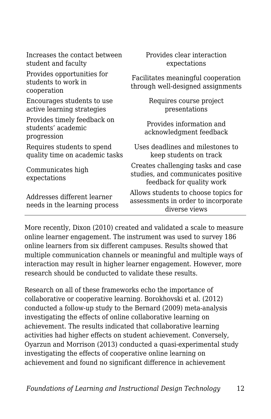| Increases the contact between<br>student and faculty             | Provides clear interaction<br>expectations                                                            |
|------------------------------------------------------------------|-------------------------------------------------------------------------------------------------------|
| Provides opportunities for<br>students to work in<br>cooperation | Facilitates meaningful cooperation<br>through well-designed assignments                               |
| Encourages students to use<br>active learning strategies         | Requires course project<br>presentations                                                              |
| Provides timely feedback on<br>students' academic<br>progression | Provides information and<br>acknowledgment feedback                                                   |
| Requires students to spend<br>quality time on academic tasks     | Uses deadlines and milestones to<br>keep students on track                                            |
| Communicates high<br>expectations                                | Creates challenging tasks and case<br>studies, and communicates positive<br>feedback for quality work |
| Addresses different learner<br>needs in the learning process     | Allows students to choose topics for<br>assessments in order to incorporate<br>diverse views          |

More recently, Dixon (2010) created and validated a scale to measure online learner engagement. The instrument was used to survey 186 online learners from six different campuses. Results showed that multiple communication channels or meaningful and multiple ways of interaction may result in higher learner engagement. However, more research should be conducted to validate these results.

Research on all of these frameworks echo the importance of collaborative or cooperative learning. Borokhovski et al. (2012) conducted a follow-up study to the Bernard (2009) meta-analysis investigating the effects of online collaborative learning on achievement. The results indicated that collaborative learning activities had higher effects on student achievement. Conversely, Oyarzun and Morrison (2013) conducted a quasi-experimental study investigating the effects of cooperative online learning on achievement and found no significant difference in achievement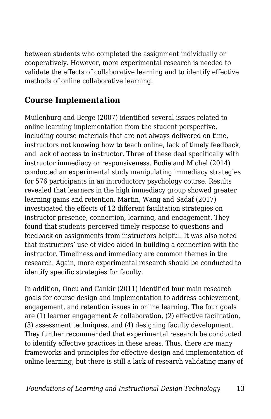between students who completed the assignment individually or cooperatively. However, more experimental research is needed to validate the effects of collaborative learning and to identify effective methods of online collaborative learning.

#### **Course Implementation**

Muilenburg and Berge (2007) identified several issues related to online learning implementation from the student perspective, including course materials that are not always delivered on time, instructors not knowing how to teach online, lack of timely feedback, and lack of access to instructor. Three of these deal specifically with instructor immediacy or responsiveness. Bodie and Michel (2014) conducted an experimental study manipulating immediacy strategies for 576 participants in an introductory psychology course. Results revealed that learners in the high immediacy group showed greater learning gains and retention. Martin, Wang and Sadaf (2017) investigated the effects of 12 different facilitation strategies on instructor presence, connection, learning, and engagement. They found that students perceived timely response to questions and feedback on assignments from instructors helpful. It was also noted that instructors' use of video aided in building a connection with the instructor. Timeliness and immediacy are common themes in the research. Again, more experimental research should be conducted to identify specific strategies for faculty.

In addition, Oncu and Cankir (2011) identified four main research goals for course design and implementation to address achievement, engagement, and retention issues in online learning. The four goals are (1) learner engagement & collaboration, (2) effective facilitation, (3) assessment techniques, and (4) designing faculty development. They further recommended that experimental research be conducted to identify effective practices in these areas. Thus, there are many frameworks and principles for effective design and implementation of online learning, but there is still a lack of research validating many of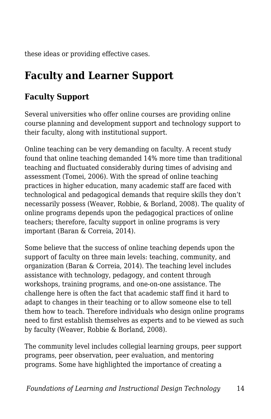these ideas or providing effective cases.

# **Faculty and Learner Support**

## **Faculty Support**

Several universities who offer online courses are providing online course planning and development support and technology support to their faculty, along with institutional support.

Online teaching can be very demanding on faculty. A recent study found that online teaching demanded 14% more time than traditional teaching and fluctuated considerably during times of advising and assessment (Tomei, 2006). With the spread of online teaching practices in higher education, many academic staff are faced with technological and pedagogical demands that require skills they don't necessarily possess (Weaver, Robbie, & Borland, 2008). The quality of online programs depends upon the pedagogical practices of online teachers; therefore, faculty support in online programs is very important (Baran & Correia, 2014).

Some believe that the success of online teaching depends upon the support of faculty on three main levels: teaching, community, and organization (Baran & Correia, 2014). The teaching level includes assistance with technology, pedagogy, and content through workshops, training programs, and one-on-one assistance. The challenge here is often the fact that academic staff find it hard to adapt to changes in their teaching or to allow someone else to tell them how to teach. Therefore individuals who design online programs need to first establish themselves as experts and to be viewed as such by faculty (Weaver, Robbie & Borland, 2008).

The community level includes collegial learning groups, peer support programs, peer observation, peer evaluation, and mentoring programs. Some have highlighted the importance of creating a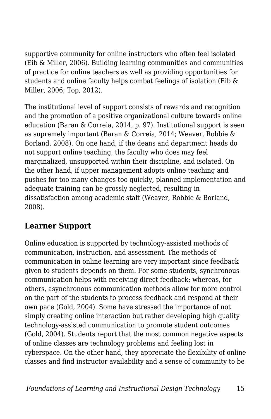supportive community for online instructors who often feel isolated (Eib & Miller, 2006). Building learning communities and communities of practice for online teachers as well as providing opportunities for students and online faculty helps combat feelings of isolation (Eib & Miller, 2006; Top, 2012).

The institutional level of support consists of rewards and recognition and the promotion of a positive organizational culture towards online education (Baran & Correia, 2014, p. 97). Institutional support is seen as supremely important (Baran & Correia, 2014; Weaver, Robbie & Borland, 2008). On one hand, if the deans and department heads do not support online teaching, the faculty who does may feel marginalized, unsupported within their discipline, and isolated. On the other hand, if upper management adopts online teaching and pushes for too many changes too quickly, planned implementation and adequate training can be grossly neglected, resulting in dissatisfaction among academic staff (Weaver, Robbie & Borland, 2008).

#### **Learner Support**

Online education is supported by technology-assisted methods of communication, instruction, and assessment. The methods of communication in online learning are very important since feedback given to students depends on them. For some students, synchronous communication helps with receiving direct feedback; whereas, for others, asynchronous communication methods allow for more control on the part of the students to process feedback and respond at their own pace (Gold, 2004). Some have stressed the importance of not simply creating online interaction but rather developing high quality technology-assisted communication to promote student outcomes (Gold, 2004). Students report that the most common negative aspects of online classes are technology problems and feeling lost in cyberspace. On the other hand, they appreciate the flexibility of online classes and find instructor availability and a sense of community to be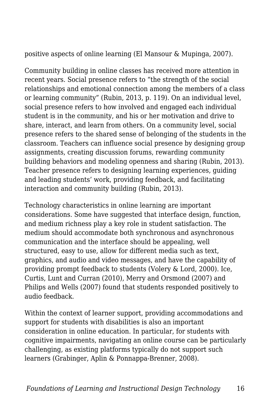positive aspects of online learning (El Mansour & Mupinga, 2007).

Community building in online classes has received more attention in recent years. Social presence refers to "the strength of the social relationships and emotional connection among the members of a class or learning community" (Rubin, 2013, p. 119). On an individual level, social presence refers to how involved and engaged each individual student is in the community, and his or her motivation and drive to share, interact, and learn from others. On a community level, social presence refers to the shared sense of belonging of the students in the classroom. Teachers can influence social presence by designing group assignments, creating discussion forums, rewarding community building behaviors and modeling openness and sharing (Rubin, 2013). Teacher presence refers to designing learning experiences, guiding and leading students' work, providing feedback, and facilitating interaction and community building (Rubin, 2013).

Technology characteristics in online learning are important considerations. Some have suggested that interface design, function, and medium richness play a key role in student satisfaction. The medium should accommodate both synchronous and asynchronous communication and the interface should be appealing, well structured, easy to use, allow for different media such as text, graphics, and audio and video messages, and have the capability of providing prompt feedback to students (Volery & Lord, 2000). Ice, Curtis, Lunt and Curran (2010), Merry and Orsmond (2007) and Philips and Wells (2007) found that students responded positively to audio feedback.

Within the context of learner support, providing accommodations and support for students with disabilities is also an important consideration in online education. In particular, for students with cognitive impairments, navigating an online course can be particularly challenging, as existing platforms typically do not support such learners (Grabinger, Aplin & Ponnappa-Brenner, 2008).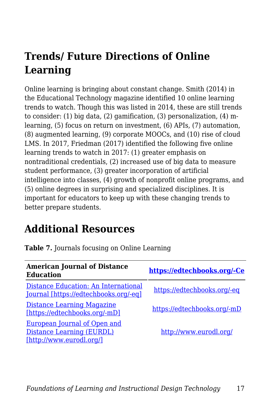# **Trends/ Future Directions of Online Learning**

Online learning is bringing about constant change. Smith (2014) in the Educational Technology magazine identified 10 online learning trends to watch. Though this was listed in 2014, these are still trends to consider: (1) big data, (2) gamification, (3) personalization, (4) mlearning, (5) focus on return on investment, (6) APIs, (7) automation, (8) augmented learning, (9) corporate MOOCs, and (10) rise of cloud LMS. In 2017, Friedman (2017) identified the following five online learning trends to watch in 2017: (1) greater emphasis on nontraditional credentials, (2) increased use of big data to measure student performance, (3) greater incorporation of artificial intelligence into classes, (4) growth of nonprofit online programs, and (5) online degrees in surprising and specialized disciplines. It is important for educators to keep up with these changing trends to better prepare students.

## **Additional Resources**

| <b>American Journal of Distance</b><br><b>Education</b>                                      | https://edtechbooks.org/-Ce |
|----------------------------------------------------------------------------------------------|-----------------------------|
| Distance Education: An International<br>Journal [https://edtechbooks.org/-eq]                | https://edtechbooks.org/-eq |
| Distance Learning Magazine<br>[https://edtechbooks.org/-mD]                                  | https://edtechbooks.org/-mD |
| <b>European Journal of Open and</b><br>Distance Learning (EURDL)<br>[http://www.eurodl.org/] | http://www.eurodl.org/      |

**Table 7.** Journals focusing on Online Learning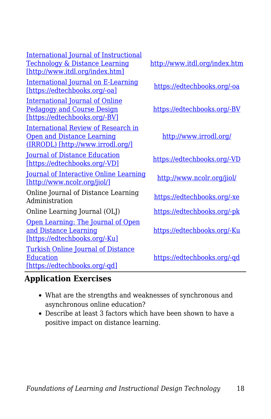[International Journal of Instructional](http://www.itdl.org/index.htm) [Technology & Distance Learning](http://www.itdl.org/index.htm) [\[http://www.itdl.org/index.htm\]](http://www.itdl.org/index.htm)

[International Journal on E-Learning](http://www.aace.org/pubs/ijel/default.htm) [\[https://edtechbooks.org/-oa\]](http://www.aace.org/pubs/ijel/default.htm) [https://edtechbooks.org/-oa](http://www.aace.org/pubs/ijel/default.htm)

[International Journal of Online](http://www.igi-global.com/journal/international-journal-online-pedagogy-course/1183) [Pedagogy and Course Design](http://www.igi-global.com/journal/international-journal-online-pedagogy-course/1183) [\[https://edtechbooks.org/-BV\]](http://www.igi-global.com/journal/international-journal-online-pedagogy-course/1183)

[International Review of Research in](http://www.irrodl.org/) [Open and Distance Learning](http://www.irrodl.org/) [\(IRRODL\) \[http://www.irrodl.org/\]](http://www.irrodl.org/)

[Journal of Distance Education](http://www.jofde.ca/index.php/jde) [\[https://edtechbooks.org/-VD\]](http://www.jofde.ca/index.php/jde) [https://edtechbooks.org/-VD](http://www.jofde.ca/index.php/jde)

[Journal of Interactive Online Learning](http://www.ncolr.org/jiol/) [\[http://www.ncolr.org/jiol/\]](http://www.ncolr.org/jiol/) <http://www.ncolr.org/jiol/>

Online Journal of Distance Learning Administration bistance Ecarning [https://edtechbooks.org/-xe](http://www.westga.edu/~distance/ojdla/browsearticles.php)

Online Learning Journal (OLJ) [https://edtechbooks.org/-pk](https://onlinelearningconsortium.org/read/online-learning-journal/)

[Open Learning: The Journal of Open](http://www.tandf.co.uk/journals/carfax/02680513.html) [and Distance Learning](http://www.tandf.co.uk/journals/carfax/02680513.html) [\[https://edtechbooks.org/-Ku\]](http://www.tandf.co.uk/journals/carfax/02680513.html)

[Turkish Online Journal of Distance](http://tojde.anadolu.edu.tr/index.htm) [Education](http://tojde.anadolu.edu.tr/index.htm) [\[https://edtechbooks.org/-qd\]](http://tojde.anadolu.edu.tr/index.htm)

<http://www.itdl.org/index.htm>

[https://edtechbooks.org/-BV](http://www.igi-global.com/journal/international-journal-online-pedagogy-course/1183)

<http://www.irrodl.org/>

[https://edtechbooks.org/-Ku](http://www.tandf.co.uk/journals/carfax/02680513.html)

[https://edtechbooks.org/-qd](http://tojde.anadolu.edu.tr/index.htm)

#### **Application Exercises**

- What are the strengths and weaknesses of synchronous and asynchronous online education?
- Describe at least 3 factors which have been shown to have a positive impact on distance learning.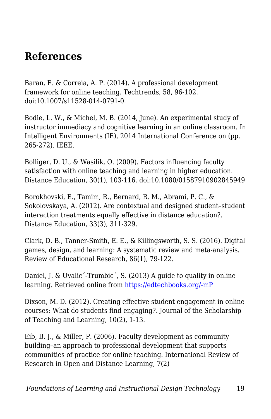## **References**

Baran, E. & Correia, A. P. (2014). A professional development framework for online teaching. Techtrends, 58, 96-102. doi:10.1007/s11528-014-0791-0.

Bodie, L. W., & Michel, M. B. (2014, June). An experimental study of instructor immediacy and cognitive learning in an online classroom. In Intelligent Environments (IE), 2014 International Conference on (pp. 265-272). IEEE.

Bolliger, D. U., & Wasilik, O. (2009). Factors influencing faculty satisfaction with online teaching and learning in higher education. Distance Education, 30(1), 103-116. doi:10.1080/01587910902845949

Borokhovski, E., Tamim, R., Bernard, R. M., Abrami, P. C., & Sokolovskaya, A. (2012). Are contextual and designed student–student interaction treatments equally effective in distance education?. Distance Education, 33(3), 311-329.

Clark, D. B., Tanner-Smith, E. E., & Killingsworth, S. S. (2016). Digital games, design, and learning: A systematic review and meta-analysis. Review of Educational Research, 86(1), 79-122.

Daniel, J. & Uvalic´-Trumbic´, S. (2013) A guide to quality in online learning. Retrieved online from [https://edtechbooks.org/-mP](http://www.chea.org/userfiles/uploads/A%20Guide%20to%20Quality%20in%20Online%20Learning.pdf)

Dixson, M. D. (2012). Creating effective student engagement in online courses: What do students find engaging?. Journal of the Scholarship of Teaching and Learning, 10(2), 1-13.

Eib, B. J., & Miller, P. (2006). Faculty development as community building–an approach to professional development that supports communities of practice for online teaching. International Review of Research in Open and Distance Learning, 7(2)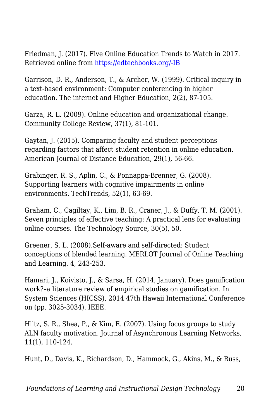Friedman, J. (2017). Five Online Education Trends to Watch in 2017. Retrieved online from [https://edtechbooks.org/-IB](https://www.usnews.com/higher-education/online-education/articles/2017-01-05/5-online-education-trends-to-expect-in-2017)

Garrison, D. R., Anderson, T., & Archer, W. (1999). Critical inquiry in a text-based environment: Computer conferencing in higher education. The internet and Higher Education, 2(2), 87-105.

Garza, R. L. (2009). Online education and organizational change. Community College Review, 37(1), 81-101.

Gaytan, J. (2015). Comparing faculty and student perceptions regarding factors that affect student retention in online education. American Journal of Distance Education, 29(1), 56-66.

Grabinger, R. S., Aplin, C., & Ponnappa-Brenner, G. (2008). Supporting learners with cognitive impairments in online environments. TechTrends, 52(1), 63-69.

Graham, C., Cagiltay, K., Lim, B. R., Craner, J., & Duffy, T. M. (2001). Seven principles of effective teaching: A practical lens for evaluating online courses. The Technology Source, 30(5), 50.

Greener, S. L. (2008).Self-aware and self-directed: Student conceptions of blended learning. MERLOT Journal of Online Teaching and Learning. 4, 243-253.

Hamari, J., Koivisto, J., & Sarsa, H. (2014, January). Does gamification work?–a literature review of empirical studies on gamification. In System Sciences (HICSS), 2014 47th Hawaii International Conference on (pp. 3025-3034). IEEE.

Hiltz, S. R., Shea, P., & Kim, E. (2007). Using focus groups to study ALN faculty motivation. Journal of Asynchronous Learning Networks, 11(1), 110-124.

Hunt, D., Davis, K., Richardson, D., Hammock, G., Akins, M., & Russ,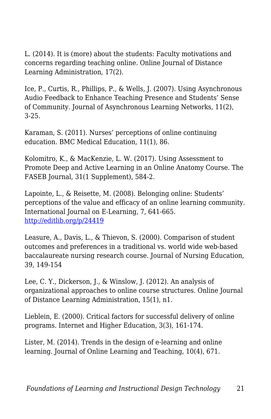L. (2014). It is (more) about the students: Faculty motivations and concerns regarding teaching online. Online Journal of Distance Learning Administration, 17(2).

Ice, P., Curtis, R., Phillips, P., & Wells, J. (2007). Using Asynchronous Audio Feedback to Enhance Teaching Presence and Students' Sense of Community. Journal of Asynchronous Learning Networks, 11(2), 3-25.

Karaman, S. (2011). Nurses' perceptions of online continuing education. BMC Medical Education, 11(1), 86.

Kolomitro, K., & MacKenzie, L. W. (2017). Using Assessment to Promote Deep and Active Learning in an Online Anatomy Course. The FASEB Journal, 31(1 Supplement), 584-2.

Lapointe, L., & Reisette, M. (2008). Belonging online: Students' perceptions of the value and efficacy of an online learning community. International Journal on E-Learning, 7, 641-665. <http://editlib.org/p/24419>

Leasure, A., Davis, L., & Thievon, S. (2000). Comparison of student outcomes and preferences in a traditional vs. world wide web-based baccalaureate nursing research course. Journal of Nursing Education, 39, 149-154

Lee, C. Y., Dickerson, J., & Winslow, J. (2012). An analysis of organizational approaches to online course structures. Online Journal of Distance Learning Administration, 15(1), n1.

Lieblein, E. (2000). Critical factors for successful delivery of online programs. Internet and Higher Education, 3(3), 161-174.

Lister, M. (2014). Trends in the design of e-learning and online learning. Journal of Online Learning and Teaching, 10(4), 671.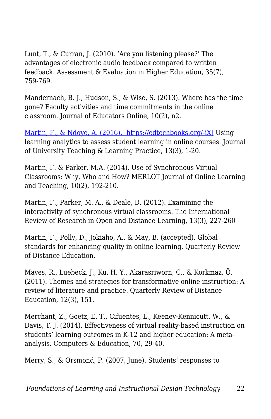Lunt, T., & Curran, J. (2010). 'Are you listening please?' The advantages of electronic audio feedback compared to written feedback. Assessment & Evaluation in Higher Education, 35(7), 759-769.

Mandernach, B. J., Hudson, S., & Wise, S. (2013). Where has the time gone? Faculty activities and time commitments in the online classroom. Journal of Educators Online, 10(2), n2.

[Martin, F., & Ndoye, A. \(2016\). \[https://edtechbooks.org/-iX\]](http://www.florencemartin.net/site2014/publications.html) Using learning analytics to assess student learning in online courses. Journal of University Teaching & Learning Practice, 13(3), 1-20.

Martin, F. & Parker, M.A. (2014). Use of Synchronous Virtual Classrooms: Why, Who and How? MERLOT Journal of Online Learning and Teaching, 10(2), 192-210.

Martin, F., Parker, M. A., & Deale, D. (2012). Examining the interactivity of synchronous virtual classrooms. The International Review of Research in Open and Distance Learning, 13(3), 227-260

Martin, F., Polly, D., Jokiaho, A., & May, B. (accepted). Global standards for enhancing quality in online learning. Quarterly Review of Distance Education.

Mayes, R., Luebeck, J., Ku, H. Y., Akarasriworn, C., & Korkmaz, Ö. (2011). Themes and strategies for transformative online instruction: A review of literature and practice. Quarterly Review of Distance Education, 12(3), 151.

Merchant, Z., Goetz, E. T., Cifuentes, L., Keeney-Kennicutt, W., & Davis, T. J. (2014). Effectiveness of virtual reality-based instruction on students' learning outcomes in K-12 and higher education: A metaanalysis. Computers & Education, 70, 29-40.

Merry, S., & Orsmond, P. (2007, June). Students' responses to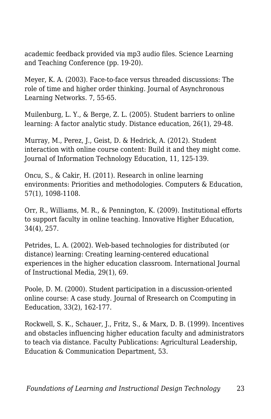academic feedback provided via mp3 audio files. Science Learning and Teaching Conference (pp. 19-20).

Meyer, K. A. (2003). Face-to-face versus threaded discussions: The role of time and higher order thinking. Journal of Asynchronous Learning Networks. 7, 55-65.

Muilenburg, L. Y., & Berge, Z. L. (2005). Student barriers to online learning: A factor analytic study. Distance education, 26(1), 29-48.

Murray, M., Perez, J., Geist, D. & Hedrick, A. (2012). Student interaction with online course content: Build it and they might come. Journal of Information Technology Education, 11, 125-139.

Oncu, S., & Cakir, H. (2011). Research in online learning environments: Priorities and methodologies. Computers & Education, 57(1), 1098-1108.

Orr, R., Williams, M. R., & Pennington, K. (2009). Institutional efforts to support faculty in online teaching. Innovative Higher Education, 34(4), 257.

Petrides, L. A. (2002). Web-based technologies for distributed (or distance) learning: Creating learning-centered educational experiences in the higher education classroom. International Journal of Instructional Media, 29(1), 69.

Poole, D. M. (2000). Student participation in a discussion-oriented online course: A case study. Journal of Rresearch on Ccomputing in Eeducation, 33(2), 162-177.

Rockwell, S. K., Schauer, J., Fritz, S., & Marx, D. B. (1999). Incentives and obstacles influencing higher education faculty and administrators to teach via distance. Faculty Publications: Agricultural Leadership, Education & Communication Department, 53.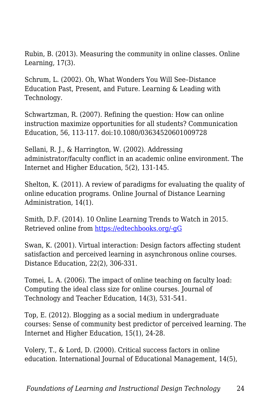Rubin, B. (2013). Measuring the community in online classes. Online Learning, 17(3).

Schrum, L. (2002). Oh, What Wonders You Will See–Distance Education Past, Present, and Future. Learning & Leading with Technology.

Schwartzman, R. (2007). Refining the question: How can online instruction maximize opportunities for all students? Communication Education, 56, 113-117. doi:10.1080/03634520601009728

Sellani, R. J., & Harrington, W. (2002). Addressing administrator/faculty conflict in an academic online environment. The Internet and Higher Education, 5(2), 131-145.

Shelton, K. (2011). A review of paradigms for evaluating the quality of online education programs. Online Journal of Distance Learning Administration, 14(1).

Smith, D.F. (2014). 10 Online Learning Trends to Watch in 2015. Retrieved online from [https://edtechbooks.org/-gG](http://www.edtechmagazine.com/higher/article/2014/12/10-online-learning-trends-watch-2015-infographic-0)

Swan, K. (2001). Virtual interaction: Design factors affecting student satisfaction and perceived learning in asynchronous online courses. Distance Education, 22(2), 306-331.

Tomei, L. A. (2006). The impact of online teaching on faculty load: Computing the ideal class size for online courses. Journal of Technology and Teacher Education, 14(3), 531-541.

Top, E. (2012). Blogging as a social medium in undergraduate courses: Sense of community best predictor of perceived learning. The Internet and Higher Education, 15(1), 24-28.

Volery, T., & Lord, D. (2000). Critical success factors in online education. International Journal of Educational Management, 14(5),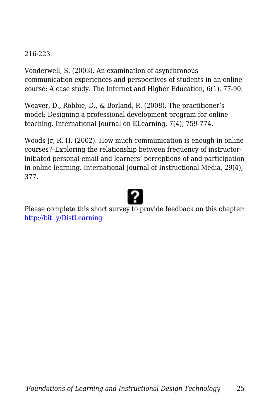#### 216-223.

Vonderwell, S. (2003). An examination of asynchronous communication experiences and perspectives of students in an online course: A case study. The Internet and Higher Education, 6(1), 77-90.

Weaver, D., Robbie, D., & Borland, R. (2008). The practitioner's model: Designing a professional development program for online teaching. International Journal on ELearning, 7(4), 759-774.

Woods Jr, R. H. (2002). How much communication is enough in online courses?–Exploring the relationship between frequency of instructorinitiated personal email and learners' perceptions of and participation in online learning. International Journal of Instructional Media, 29(4), 377.

Please complete this short survey to provide feedback on this chapter: <http://bit.ly/DistLearning>